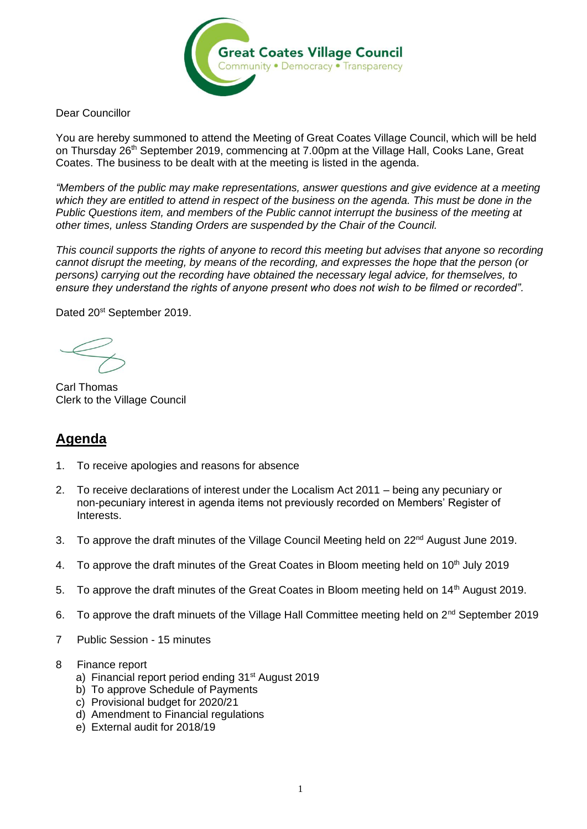

Dear Councillor

You are hereby summoned to attend the Meeting of Great Coates Village Council, which will be held on Thursday 26<sup>th</sup> September 2019, commencing at 7.00pm at the Village Hall, Cooks Lane, Great Coates. The business to be dealt with at the meeting is listed in the agenda.

*"Members of the public may make representations, answer questions and give evidence at a meeting which they are entitled to attend in respect of the business on the agenda. This must be done in the Public Questions item, and members of the Public cannot interrupt the business of the meeting at other times, unless Standing Orders are suspended by the Chair of the Council.* 

*This council supports the rights of anyone to record this meeting but advises that anyone so recording cannot disrupt the meeting, by means of the recording, and expresses the hope that the person (or persons) carrying out the recording have obtained the necessary legal advice, for themselves, to ensure they understand the rights of anyone present who does not wish to be filmed or recorded".*

Dated 20<sup>st</sup> September 2019.

Carl Thomas Clerk to the Village Council

## **Agenda**

- 1. To receive apologies and reasons for absence
- 2. To receive declarations of interest under the Localism Act 2011 being any pecuniary or non-pecuniary interest in agenda items not previously recorded on Members' Register of Interests.
- 3. To approve the draft minutes of the Village Council Meeting held on 22<sup>nd</sup> August June 2019.
- 4. To approve the draft minutes of the Great Coates in Bloom meeting held on  $10<sup>th</sup>$  July 2019
- 5. To approve the draft minutes of the Great Coates in Bloom meeting held on 14<sup>th</sup> August 2019.
- 6. To approve the draft minuets of the Village Hall Committee meeting held on 2<sup>nd</sup> September 2019
- 7 Public Session 15 minutes
- 8 Finance report
	- a) Financial report period ending 31<sup>st</sup> August 2019
	- b) To approve Schedule of Payments
	- c) Provisional budget for 2020/21
	- d) Amendment to Financial regulations
	- e) External audit for 2018/19